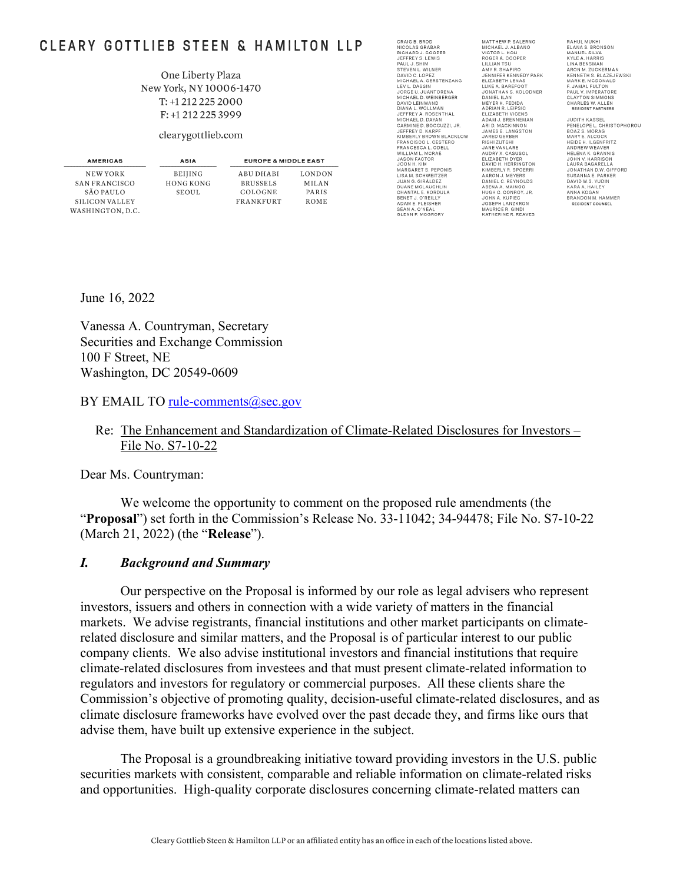# CLEARY GOTTLIEB STEEN & HAMILTON LLP

#### One Liberty Plaza New York, NY 10006-1470 T: +1 212 225 2000 F: +1 212 225 3999

#### clearygottlieb.com

| AMERICAS         | ASIA             | <b>EUROPE &amp; MIDDLE EAST</b> |               |
|------------------|------------------|---------------------------------|---------------|
| NEW YORK         | <b>BEIJING</b>   | ABU DHABI                       | <b>LONDON</b> |
| SAN FRANCISCO    | <b>HONG KONG</b> | <b>BRUSSELS</b>                 | <b>MILAN</b>  |
| SÃO PAULO        | SEOUL.           | COLOGNE                         | PARIS         |
| SILICON VALLEY   |                  | <b>FRANKFURT</b>                | <b>ROME</b>   |
| WASHINGTON, D.C. |                  |                                 |               |

CRAIG B. BROD<br>NICOLAS GRABAR<br>RICHARD J. COOPE<br>JEFFREY S. LEWIS<br>PAUL J. SHIM .<br>PER STEVEN L. WILNER DAVID C. LOPEZ<br>MICHAEL A. GERSTENZANG LEV L. DASSIN LEV L. DASSIN<br>JORGE U. JUANTORENA<br>MICHAEL D. WEINBERGER<br>DAVID LEINWAND<br>DIANA L. WOLLMAN<br>JEFFREY A. ROSENTHAL JEFFREY A. ROSENTHAL<br>MICHAEL D. DAYAN<br>CARMINE D. BOCCUZZI, JR.<br>JEFFREY D. KARPF JEFFREY D. KARPF<br>KIMBERLY BROWN BLACKLOW<br>FRANCISCO L. CESTERO<br>FRANCISCO L. OESLL<br>WILLIAM L. MCRAE<br>JASON FACTOR<br>JASON FACTOR<br>MARGARET S. PEPONIS<br>MARGARET S. PEPONIS LISA M. SCHWEITZER JUAN G. GIRÁLDEZ DUANE MCLAUGHLIN CHANTAL E. KORDULA **BENET J. O'REILLY<br>ADAM E. FLEISHER<br>SEAN A. O'NEAL<br>GLENN P. MCGRORY** 

MATTHEW P. SALERNO<br>MICHAEL J. ALBANO<br>VICTOR L. HOU<br>ROGER A. COOPER<br>LILLIAN TSU AMY R. SHAPIRO **AMERICAN<br>JENNIFER KENNEDY PARK<br>ELIZABETH LENAS<br>LUKE A. BAREFOOT** LUKE A. BAREFOOT<br>JONATHAN S. KOLODNER<br>DANIEL ILAN<br>MEYER H. FEDIDA<br>ADRIAN R. LEIPSIC<br>ELIZABETH VICENS<br>ADAM J. BRENNEMAN ADAM J. BRENNEMAN<br>ARI D. MACKINNON<br>JAMES E. LANGSTON<br>JARED GERBER JARED GERBER<br>RISHI ZUTSI<br>JANE VANLARE<br>AUDRY X. CASUSOL<br>ELIZABETH DYER<br>DAVID H. HERRINGTON<br>KIMBERLY R. SPOERR<br>DANIEL C. REYNOLDS<br>ABENA A. MAINOO<br>ABENA A. MAINOO<br>HIGH C. CONROY ABENA A. MAINOO<br>HUGH C. CONROY, JR.<br>JOHN A. KUPIEC<br>JOSEPH LANZKRON<br>MAURICE R. GINDI<br>KATHERINE R. REAVES

RAHUL MUKHI<br>ELANA S. BRONSON<br>MANUEL SILVA<br>KYLE A. HARRIS<br>LINA BENSMAN<br>ARON M. ZUCKERMAN KENNETH S. BLAZEJEWSKI<br>MARK E. MCDONALD MARK E. MUDUNALD<br>FAUL V. IMPERATORE<br>CLAYTON SIMMONS<br>CHARLES W. ALLEN<br>RESIDENT PARTNERS

**JUDITH KASSEL PENELOPE L. CHRISTOPHOROU<br>BOAZ S. MORAG<br>MARY E. ALCOCK** MARY E. ALCOCK<br>HEIDE H. ILGENFRITZ<br>ANDREW WEAVER<br>JOHN V. HARRISON<br>JOHN V. HARRISON<br>LAURA BAGARELLA<br>JONATHAN D.W. GIFFORD<br>SUSANNA E. PARKER<br>SUSANNA E. PARKER DAVID W.S. YUDIN KARA A. HAILEY ANNA KOGAN<br>BRANDON M. HAMMER<br>RESIDENT COUNSEL

June 16, 2022

Vanessa A. Countryman, Secretary Securities and Exchange Commission 100 F Street, NE Washington, DC 20549-0609

BY EMAIL TO rule-comments@sec.gov

#### Re: The Enhancement and Standardization of Climate-Related Disclosures for Investors – File No. S7-10-22

Dear Ms. Countryman:

We welcome the opportunity to comment on the proposed rule amendments (the "**Proposal**") set forth in the Commission's Release No. 33-11042; 34-94478; File No. S7-10-22 (March 21, 2022) (the "**Release**").

#### *I. Background and Summary*

Our perspective on the Proposal is informed by our role as legal advisers who represent investors, issuers and others in connection with a wide variety of matters in the financial markets. We advise registrants, financial institutions and other market participants on climaterelated disclosure and similar matters, and the Proposal is of particular interest to our public company clients. We also advise institutional investors and financial institutions that require climate-related disclosures from investees and that must present climate-related information to regulators and investors for regulatory or commercial purposes. All these clients share the Commission's objective of promoting quality, decision-useful climate-related disclosures, and as climate disclosure frameworks have evolved over the past decade they, and firms like ours that advise them, have built up extensive experience in the subject.

The Proposal is a groundbreaking initiative toward providing investors in the U.S. public securities markets with consistent, comparable and reliable information on climate-related risks and opportunities. High-quality corporate disclosures concerning climate-related matters can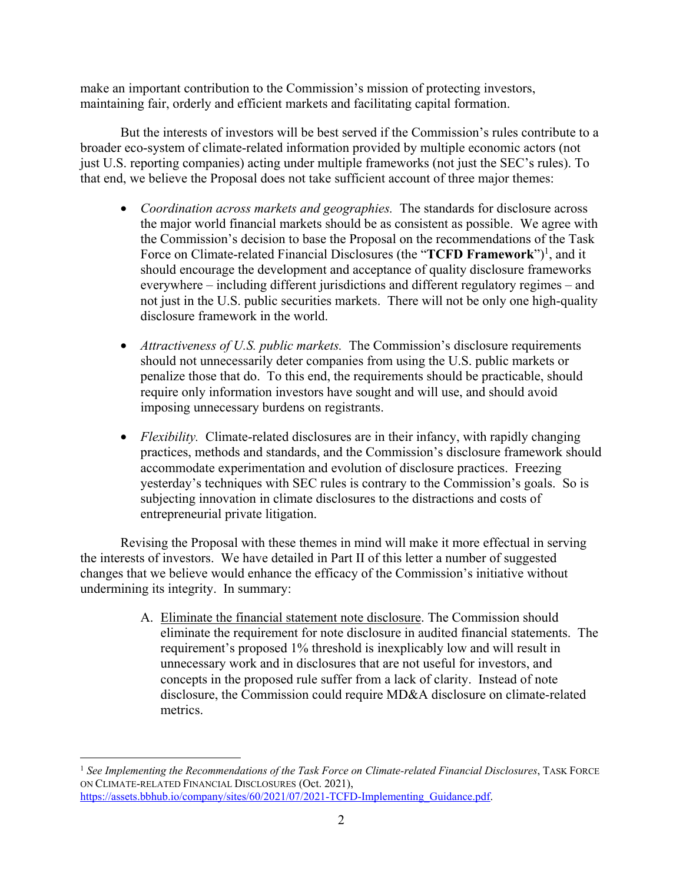make an important contribution to the Commission's mission of protecting investors, maintaining fair, orderly and efficient markets and facilitating capital formation.

But the interests of investors will be best served if the Commission's rules contribute to a broader eco-system of climate-related information provided by multiple economic actors (not just U.S. reporting companies) acting under multiple frameworks (not just the SEC's rules). To that end, we believe the Proposal does not take sufficient account of three major themes:

- *Coordination across markets and geographies.* The standards for disclosure across the major world financial markets should be as consistent as possible. We agree with the Commission's decision to base the Proposal on the recommendations of the Task Force on Climate-related Financial Disclosures (the "**TCFD Framework**")<sup>1</sup>, and it should encourage the development and acceptance of quality disclosure frameworks everywhere – including different jurisdictions and different regulatory regimes – and not just in the U.S. public securities markets. There will not be only one high-quality disclosure framework in the world.
- *Attractiveness of U.S. public markets.* The Commission's disclosure requirements should not unnecessarily deter companies from using the U.S. public markets or penalize those that do. To this end, the requirements should be practicable, should require only information investors have sought and will use, and should avoid imposing unnecessary burdens on registrants.
- *Flexibility.* Climate-related disclosures are in their infancy, with rapidly changing practices, methods and standards, and the Commission's disclosure framework should accommodate experimentation and evolution of disclosure practices. Freezing yesterday's techniques with SEC rules is contrary to the Commission's goals. So is subjecting innovation in climate disclosures to the distractions and costs of entrepreneurial private litigation.

Revising the Proposal with these themes in mind will make it more effectual in serving the interests of investors. We have detailed in Part II of this letter a number of suggested changes that we believe would enhance the efficacy of the Commission's initiative without undermining its integrity. In summary:

> A. Eliminate the financial statement note disclosure. The Commission should eliminate the requirement for note disclosure in audited financial statements. The requirement's proposed 1% threshold is inexplicably low and will result in unnecessary work and in disclosures that are not useful for investors, and concepts in the proposed rule suffer from a lack of clarity. Instead of note disclosure, the Commission could require MD&A disclosure on climate-related metrics.

<sup>1</sup> *See Implementing the Recommendations of the Task Force on Climate-related Financial Disclosures*, TASK FORCE ON CLIMATE-RELATED FINANCIAL DISCLOSURES (Oct. 2021), https://assets.bbhub.io/company/sites/60/2021/07/2021-TCFD-Implementing\_Guidance.pdf.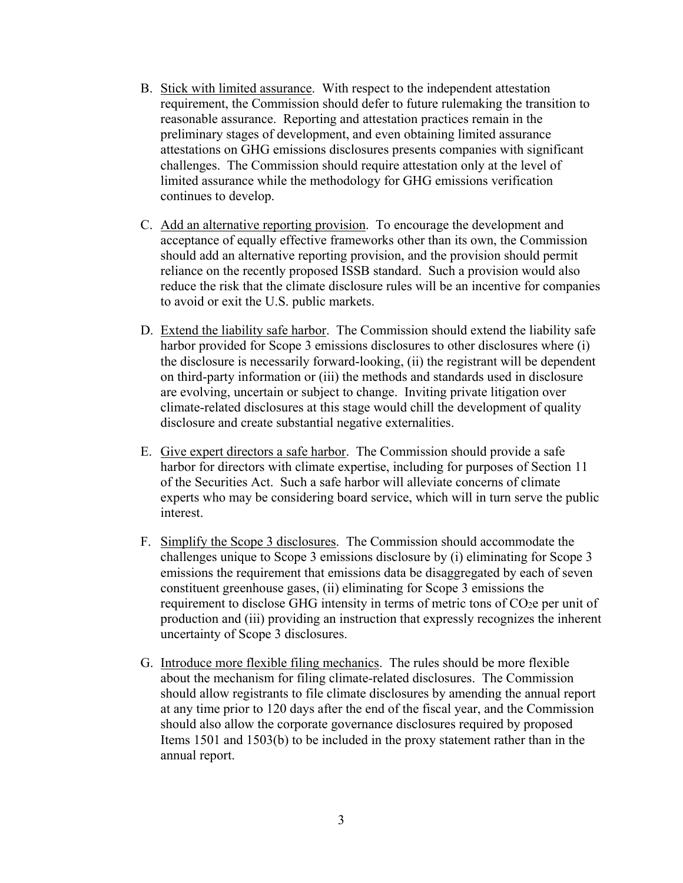- B. Stick with limited assurance. With respect to the independent attestation requirement, the Commission should defer to future rulemaking the transition to reasonable assurance. Reporting and attestation practices remain in the preliminary stages of development, and even obtaining limited assurance attestations on GHG emissions disclosures presents companies with significant challenges. The Commission should require attestation only at the level of limited assurance while the methodology for GHG emissions verification continues to develop.
- C. Add an alternative reporting provision. To encourage the development and acceptance of equally effective frameworks other than its own, the Commission should add an alternative reporting provision, and the provision should permit reliance on the recently proposed ISSB standard. Such a provision would also reduce the risk that the climate disclosure rules will be an incentive for companies to avoid or exit the U.S. public markets.
- D. Extend the liability safe harbor. The Commission should extend the liability safe harbor provided for Scope 3 emissions disclosures to other disclosures where (i) the disclosure is necessarily forward-looking, (ii) the registrant will be dependent on third-party information or (iii) the methods and standards used in disclosure are evolving, uncertain or subject to change. Inviting private litigation over climate-related disclosures at this stage would chill the development of quality disclosure and create substantial negative externalities.
- E. Give expert directors a safe harbor. The Commission should provide a safe harbor for directors with climate expertise, including for purposes of Section 11 of the Securities Act. Such a safe harbor will alleviate concerns of climate experts who may be considering board service, which will in turn serve the public interest.
- F. Simplify the Scope 3 disclosures. The Commission should accommodate the challenges unique to Scope 3 emissions disclosure by (i) eliminating for Scope 3 emissions the requirement that emissions data be disaggregated by each of seven constituent greenhouse gases, (ii) eliminating for Scope 3 emissions the requirement to disclose GHG intensity in terms of metric tons of CO<sub>2</sub>e per unit of production and (iii) providing an instruction that expressly recognizes the inherent uncertainty of Scope 3 disclosures.
- G. Introduce more flexible filing mechanics. The rules should be more flexible about the mechanism for filing climate-related disclosures. The Commission should allow registrants to file climate disclosures by amending the annual report at any time prior to 120 days after the end of the fiscal year, and the Commission should also allow the corporate governance disclosures required by proposed Items 1501 and 1503(b) to be included in the proxy statement rather than in the annual report.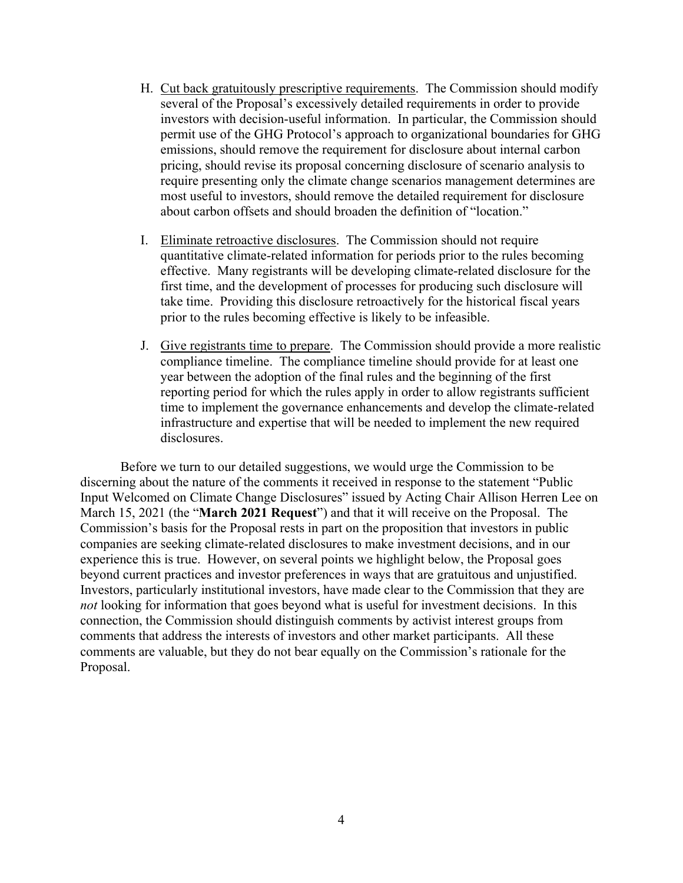- H. Cut back gratuitously prescriptive requirements. The Commission should modify several of the Proposal's excessively detailed requirements in order to provide investors with decision-useful information. In particular, the Commission should permit use of the GHG Protocol's approach to organizational boundaries for GHG emissions, should remove the requirement for disclosure about internal carbon pricing, should revise its proposal concerning disclosure of scenario analysis to require presenting only the climate change scenarios management determines are most useful to investors, should remove the detailed requirement for disclosure about carbon offsets and should broaden the definition of "location."
- I. Eliminate retroactive disclosures. The Commission should not require quantitative climate-related information for periods prior to the rules becoming effective. Many registrants will be developing climate-related disclosure for the first time, and the development of processes for producing such disclosure will take time. Providing this disclosure retroactively for the historical fiscal years prior to the rules becoming effective is likely to be infeasible.
- J. Give registrants time to prepare. The Commission should provide a more realistic compliance timeline. The compliance timeline should provide for at least one year between the adoption of the final rules and the beginning of the first reporting period for which the rules apply in order to allow registrants sufficient time to implement the governance enhancements and develop the climate-related infrastructure and expertise that will be needed to implement the new required disclosures.

Before we turn to our detailed suggestions, we would urge the Commission to be discerning about the nature of the comments it received in response to the statement "Public Input Welcomed on Climate Change Disclosures" issued by Acting Chair Allison Herren Lee on March 15, 2021 (the "**March 2021 Request**") and that it will receive on the Proposal. The Commission's basis for the Proposal rests in part on the proposition that investors in public companies are seeking climate-related disclosures to make investment decisions, and in our experience this is true. However, on several points we highlight below, the Proposal goes beyond current practices and investor preferences in ways that are gratuitous and unjustified. Investors, particularly institutional investors, have made clear to the Commission that they are *not* looking for information that goes beyond what is useful for investment decisions. In this connection, the Commission should distinguish comments by activist interest groups from comments that address the interests of investors and other market participants. All these comments are valuable, but they do not bear equally on the Commission's rationale for the Proposal.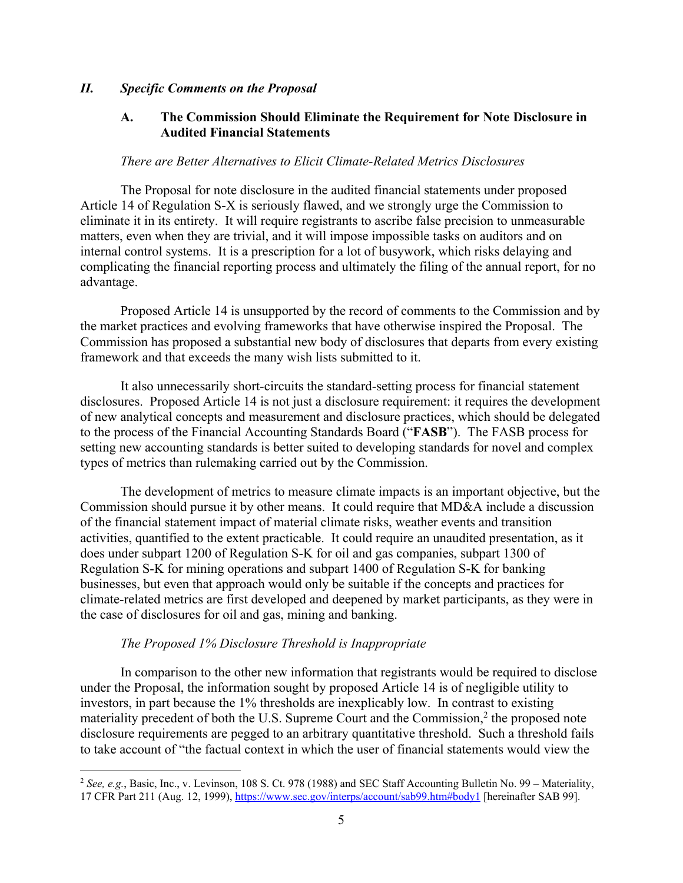#### *II. Specific Comments on the Proposal*

#### **A. The Commission Should Eliminate the Requirement for Note Disclosure in Audited Financial Statements**

#### *There are Better Alternatives to Elicit Climate-Related Metrics Disclosures*

The Proposal for note disclosure in the audited financial statements under proposed Article 14 of Regulation S-X is seriously flawed, and we strongly urge the Commission to eliminate it in its entirety. It will require registrants to ascribe false precision to unmeasurable matters, even when they are trivial, and it will impose impossible tasks on auditors and on internal control systems. It is a prescription for a lot of busywork, which risks delaying and complicating the financial reporting process and ultimately the filing of the annual report, for no advantage.

Proposed Article 14 is unsupported by the record of comments to the Commission and by the market practices and evolving frameworks that have otherwise inspired the Proposal. The Commission has proposed a substantial new body of disclosures that departs from every existing framework and that exceeds the many wish lists submitted to it.

It also unnecessarily short-circuits the standard-setting process for financial statement disclosures. Proposed Article 14 is not just a disclosure requirement: it requires the development of new analytical concepts and measurement and disclosure practices, which should be delegated to the process of the Financial Accounting Standards Board ("**FASB**"). The FASB process for setting new accounting standards is better suited to developing standards for novel and complex types of metrics than rulemaking carried out by the Commission.

The development of metrics to measure climate impacts is an important objective, but the Commission should pursue it by other means. It could require that MD&A include a discussion of the financial statement impact of material climate risks, weather events and transition activities, quantified to the extent practicable. It could require an unaudited presentation, as it does under subpart 1200 of Regulation S-K for oil and gas companies, subpart 1300 of Regulation S-K for mining operations and subpart 1400 of Regulation S-K for banking businesses, but even that approach would only be suitable if the concepts and practices for climate-related metrics are first developed and deepened by market participants, as they were in the case of disclosures for oil and gas, mining and banking.

#### *The Proposed 1% Disclosure Threshold is Inappropriate*

 $\overline{a}$ 

In comparison to the other new information that registrants would be required to disclose under the Proposal, the information sought by proposed Article 14 is of negligible utility to investors, in part because the 1% thresholds are inexplicably low. In contrast to existing materiality precedent of both the U.S. Supreme Court and the Commission, $<sup>2</sup>$  the proposed note</sup> disclosure requirements are pegged to an arbitrary quantitative threshold. Such a threshold fails to take account of "the factual context in which the user of financial statements would view the

<sup>2</sup> *See, e.g.*, Basic, Inc., v. Levinson, 108 S. Ct. 978 (1988) and SEC Staff Accounting Bulletin No. 99 – Materiality, 17 CFR Part 211 (Aug. 12, 1999), https://www.sec.gov/interps/account/sab99.htm#body1 [hereinafter SAB 99].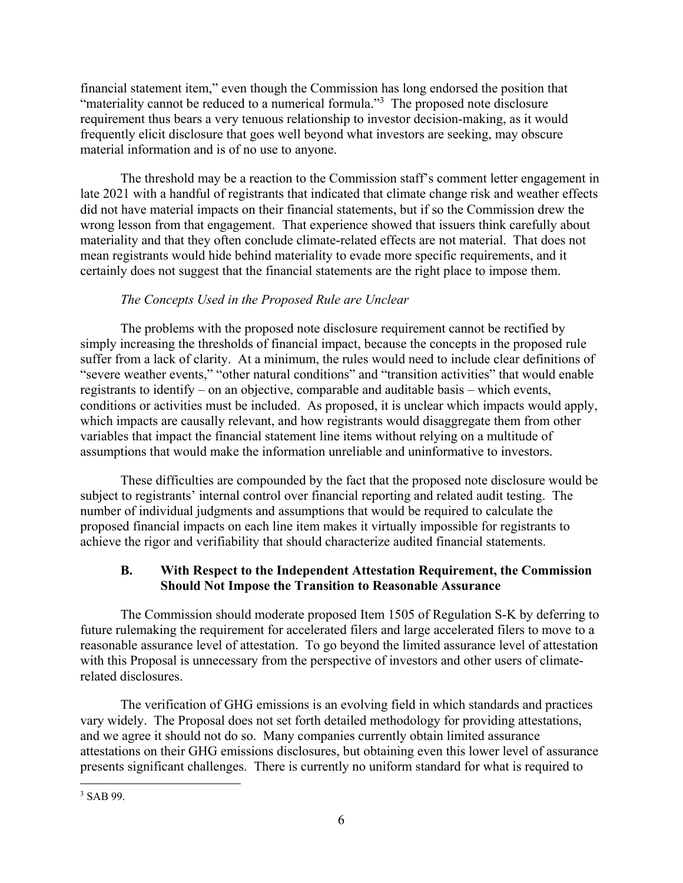financial statement item," even though the Commission has long endorsed the position that "materiality cannot be reduced to a numerical formula." $3$  The proposed note disclosure requirement thus bears a very tenuous relationship to investor decision-making, as it would frequently elicit disclosure that goes well beyond what investors are seeking, may obscure material information and is of no use to anyone.

The threshold may be a reaction to the Commission staff's comment letter engagement in late 2021 with a handful of registrants that indicated that climate change risk and weather effects did not have material impacts on their financial statements, but if so the Commission drew the wrong lesson from that engagement. That experience showed that issuers think carefully about materiality and that they often conclude climate-related effects are not material. That does not mean registrants would hide behind materiality to evade more specific requirements, and it certainly does not suggest that the financial statements are the right place to impose them.

# *The Concepts Used in the Proposed Rule are Unclear*

The problems with the proposed note disclosure requirement cannot be rectified by simply increasing the thresholds of financial impact, because the concepts in the proposed rule suffer from a lack of clarity. At a minimum, the rules would need to include clear definitions of "severe weather events," "other natural conditions" and "transition activities" that would enable registrants to identify – on an objective, comparable and auditable basis – which events, conditions or activities must be included. As proposed, it is unclear which impacts would apply, which impacts are causally relevant, and how registrants would disaggregate them from other variables that impact the financial statement line items without relying on a multitude of assumptions that would make the information unreliable and uninformative to investors.

These difficulties are compounded by the fact that the proposed note disclosure would be subject to registrants' internal control over financial reporting and related audit testing. The number of individual judgments and assumptions that would be required to calculate the proposed financial impacts on each line item makes it virtually impossible for registrants to achieve the rigor and verifiability that should characterize audited financial statements.

## **B. With Respect to the Independent Attestation Requirement, the Commission Should Not Impose the Transition to Reasonable Assurance**

The Commission should moderate proposed Item 1505 of Regulation S-K by deferring to future rulemaking the requirement for accelerated filers and large accelerated filers to move to a reasonable assurance level of attestation. To go beyond the limited assurance level of attestation with this Proposal is unnecessary from the perspective of investors and other users of climaterelated disclosures.

The verification of GHG emissions is an evolving field in which standards and practices vary widely. The Proposal does not set forth detailed methodology for providing attestations, and we agree it should not do so. Many companies currently obtain limited assurance attestations on their GHG emissions disclosures, but obtaining even this lower level of assurance presents significant challenges. There is currently no uniform standard for what is required to

<sup>1</sup> 3 SAB 99.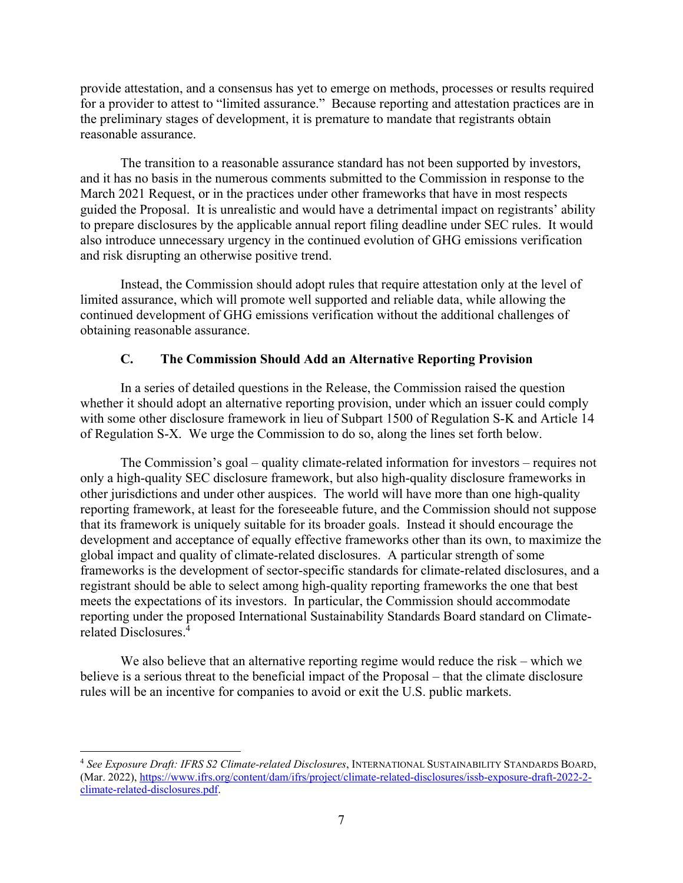provide attestation, and a consensus has yet to emerge on methods, processes or results required for a provider to attest to "limited assurance." Because reporting and attestation practices are in the preliminary stages of development, it is premature to mandate that registrants obtain reasonable assurance.

The transition to a reasonable assurance standard has not been supported by investors, and it has no basis in the numerous comments submitted to the Commission in response to the March 2021 Request, or in the practices under other frameworks that have in most respects guided the Proposal. It is unrealistic and would have a detrimental impact on registrants' ability to prepare disclosures by the applicable annual report filing deadline under SEC rules. It would also introduce unnecessary urgency in the continued evolution of GHG emissions verification and risk disrupting an otherwise positive trend.

Instead, the Commission should adopt rules that require attestation only at the level of limited assurance, which will promote well supported and reliable data, while allowing the continued development of GHG emissions verification without the additional challenges of obtaining reasonable assurance.

### **C. The Commission Should Add an Alternative Reporting Provision**

In a series of detailed questions in the Release, the Commission raised the question whether it should adopt an alternative reporting provision, under which an issuer could comply with some other disclosure framework in lieu of Subpart 1500 of Regulation S-K and Article 14 of Regulation S-X. We urge the Commission to do so, along the lines set forth below.

The Commission's goal – quality climate-related information for investors – requires not only a high-quality SEC disclosure framework, but also high-quality disclosure frameworks in other jurisdictions and under other auspices. The world will have more than one high-quality reporting framework, at least for the foreseeable future, and the Commission should not suppose that its framework is uniquely suitable for its broader goals. Instead it should encourage the development and acceptance of equally effective frameworks other than its own, to maximize the global impact and quality of climate-related disclosures. A particular strength of some frameworks is the development of sector-specific standards for climate-related disclosures, and a registrant should be able to select among high-quality reporting frameworks the one that best meets the expectations of its investors. In particular, the Commission should accommodate reporting under the proposed International Sustainability Standards Board standard on Climaterelated Disclosures.4

We also believe that an alternative reporting regime would reduce the risk – which we believe is a serious threat to the beneficial impact of the Proposal – that the climate disclosure rules will be an incentive for companies to avoid or exit the U.S. public markets.

 $\overline{a}$ <sup>4</sup> *See Exposure Draft: IFRS S2 Climate-related Disclosures*, INTERNATIONAL SUSTAINABILITY STANDARDS BOARD, (Mar. 2022), https://www.ifrs.org/content/dam/ifrs/project/climate-related-disclosures/issb-exposure-draft-2022-2 climate-related-disclosures.pdf.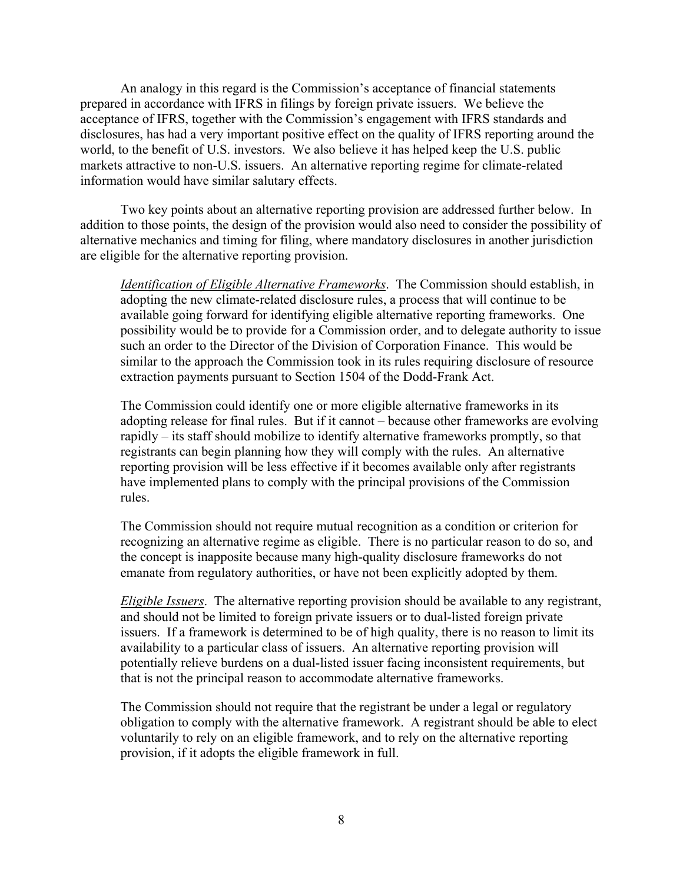An analogy in this regard is the Commission's acceptance of financial statements prepared in accordance with IFRS in filings by foreign private issuers. We believe the acceptance of IFRS, together with the Commission's engagement with IFRS standards and disclosures, has had a very important positive effect on the quality of IFRS reporting around the world, to the benefit of U.S. investors. We also believe it has helped keep the U.S. public markets attractive to non-U.S. issuers. An alternative reporting regime for climate-related information would have similar salutary effects.

Two key points about an alternative reporting provision are addressed further below. In addition to those points, the design of the provision would also need to consider the possibility of alternative mechanics and timing for filing, where mandatory disclosures in another jurisdiction are eligible for the alternative reporting provision.

*Identification of Eligible Alternative Frameworks*. The Commission should establish, in adopting the new climate-related disclosure rules, a process that will continue to be available going forward for identifying eligible alternative reporting frameworks. One possibility would be to provide for a Commission order, and to delegate authority to issue such an order to the Director of the Division of Corporation Finance. This would be similar to the approach the Commission took in its rules requiring disclosure of resource extraction payments pursuant to Section 1504 of the Dodd-Frank Act.

The Commission could identify one or more eligible alternative frameworks in its adopting release for final rules. But if it cannot – because other frameworks are evolving rapidly – its staff should mobilize to identify alternative frameworks promptly, so that registrants can begin planning how they will comply with the rules. An alternative reporting provision will be less effective if it becomes available only after registrants have implemented plans to comply with the principal provisions of the Commission rules.

The Commission should not require mutual recognition as a condition or criterion for recognizing an alternative regime as eligible. There is no particular reason to do so, and the concept is inapposite because many high-quality disclosure frameworks do not emanate from regulatory authorities, or have not been explicitly adopted by them.

*Eligible Issuers*. The alternative reporting provision should be available to any registrant, and should not be limited to foreign private issuers or to dual-listed foreign private issuers. If a framework is determined to be of high quality, there is no reason to limit its availability to a particular class of issuers. An alternative reporting provision will potentially relieve burdens on a dual-listed issuer facing inconsistent requirements, but that is not the principal reason to accommodate alternative frameworks.

The Commission should not require that the registrant be under a legal or regulatory obligation to comply with the alternative framework. A registrant should be able to elect voluntarily to rely on an eligible framework, and to rely on the alternative reporting provision, if it adopts the eligible framework in full.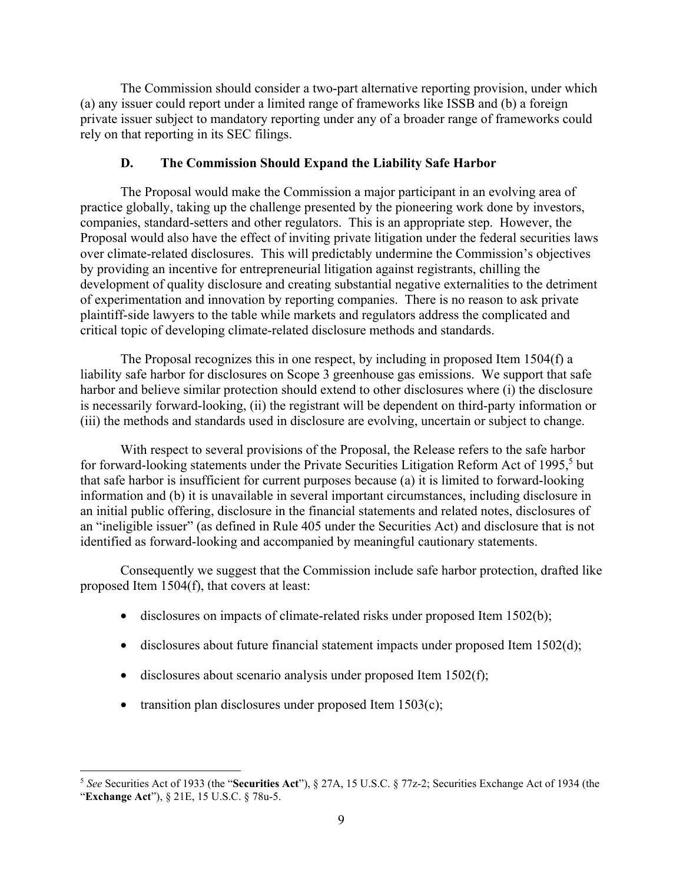The Commission should consider a two-part alternative reporting provision, under which (a) any issuer could report under a limited range of frameworks like ISSB and (b) a foreign private issuer subject to mandatory reporting under any of a broader range of frameworks could rely on that reporting in its SEC filings.

### **D. The Commission Should Expand the Liability Safe Harbor**

The Proposal would make the Commission a major participant in an evolving area of practice globally, taking up the challenge presented by the pioneering work done by investors, companies, standard-setters and other regulators. This is an appropriate step. However, the Proposal would also have the effect of inviting private litigation under the federal securities laws over climate-related disclosures. This will predictably undermine the Commission's objectives by providing an incentive for entrepreneurial litigation against registrants, chilling the development of quality disclosure and creating substantial negative externalities to the detriment of experimentation and innovation by reporting companies. There is no reason to ask private plaintiff-side lawyers to the table while markets and regulators address the complicated and critical topic of developing climate-related disclosure methods and standards.

The Proposal recognizes this in one respect, by including in proposed Item 1504(f) a liability safe harbor for disclosures on Scope 3 greenhouse gas emissions. We support that safe harbor and believe similar protection should extend to other disclosures where (i) the disclosure is necessarily forward-looking, (ii) the registrant will be dependent on third-party information or (iii) the methods and standards used in disclosure are evolving, uncertain or subject to change.

With respect to several provisions of the Proposal, the Release refers to the safe harbor for forward-looking statements under the Private Securities Litigation Reform Act of 1995,<sup>5</sup> but that safe harbor is insufficient for current purposes because (a) it is limited to forward-looking information and (b) it is unavailable in several important circumstances, including disclosure in an initial public offering, disclosure in the financial statements and related notes, disclosures of an "ineligible issuer" (as defined in Rule 405 under the Securities Act) and disclosure that is not identified as forward-looking and accompanied by meaningful cautionary statements.

Consequently we suggest that the Commission include safe harbor protection, drafted like proposed Item 1504(f), that covers at least:

- disclosures on impacts of climate-related risks under proposed Item 1502(b);
- disclosures about future financial statement impacts under proposed Item 1502(d);
- disclosures about scenario analysis under proposed Item  $1502(f)$ ;
- transition plan disclosures under proposed Item  $1503(c)$ ;

 $\overline{a}$ <sup>5</sup> *See* Securities Act of 1933 (the "**Securities Act**"), § 27A, 15 U.S.C. § 77z-2; Securities Exchange Act of 1934 (the "**Exchange Act**"), § 21E, 15 U.S.C. § 78u-5.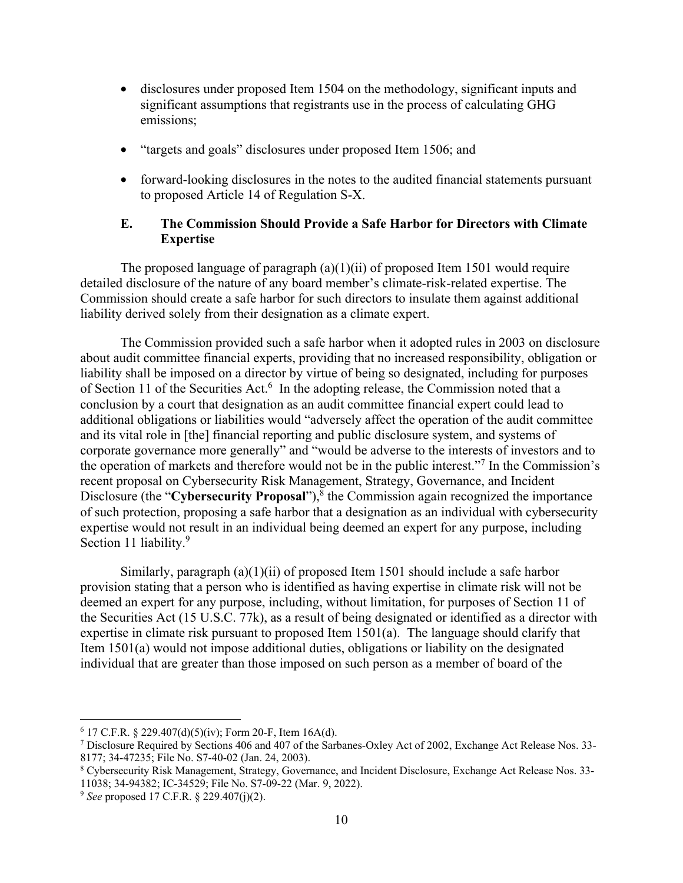- disclosures under proposed Item 1504 on the methodology, significant inputs and significant assumptions that registrants use in the process of calculating GHG emissions;
- "targets and goals" disclosures under proposed Item 1506; and
- forward-looking disclosures in the notes to the audited financial statements pursuant to proposed Article 14 of Regulation S-X.

#### **E. The Commission Should Provide a Safe Harbor for Directors with Climate Expertise**

The proposed language of paragraph  $(a)(1)(ii)$  of proposed Item 1501 would require detailed disclosure of the nature of any board member's climate-risk-related expertise. The Commission should create a safe harbor for such directors to insulate them against additional liability derived solely from their designation as a climate expert.

The Commission provided such a safe harbor when it adopted rules in 2003 on disclosure about audit committee financial experts, providing that no increased responsibility, obligation or liability shall be imposed on a director by virtue of being so designated, including for purposes of Section 11 of the Securities Act.<sup>6</sup> In the adopting release, the Commission noted that a conclusion by a court that designation as an audit committee financial expert could lead to additional obligations or liabilities would "adversely affect the operation of the audit committee and its vital role in [the] financial reporting and public disclosure system, and systems of corporate governance more generally" and "would be adverse to the interests of investors and to the operation of markets and therefore would not be in the public interest."<sup>7</sup> In the Commission's recent proposal on Cybersecurity Risk Management, Strategy, Governance, and Incident Disclosure (the "Cybersecurity Proposal"),<sup>8</sup> the Commission again recognized the importance of such protection, proposing a safe harbor that a designation as an individual with cybersecurity expertise would not result in an individual being deemed an expert for any purpose, including Section 11 liability.<sup>9</sup>

Similarly, paragraph (a)(1)(ii) of proposed Item 1501 should include a safe harbor provision stating that a person who is identified as having expertise in climate risk will not be deemed an expert for any purpose, including, without limitation, for purposes of Section 11 of the Securities Act (15 U.S.C. 77k), as a result of being designated or identified as a director with expertise in climate risk pursuant to proposed Item 1501(a). The language should clarify that Item 1501(a) would not impose additional duties, obligations or liability on the designated individual that are greater than those imposed on such person as a member of board of the

 $6$  17 C.F.R. § 229.407(d)(5)(iv); Form 20-F, Item 16A(d).

<sup>7</sup> Disclosure Required by Sections 406 and 407 of the Sarbanes-Oxley Act of 2002, Exchange Act Release Nos. 33- 8177; 34-47235; File No. S7-40-02 (Jan. 24, 2003).

<sup>8</sup> Cybersecurity Risk Management, Strategy, Governance, and Incident Disclosure, Exchange Act Release Nos. 33- 11038; 34-94382; IC-34529; File No. S7-09-22 (Mar. 9, 2022).

<sup>9</sup> *See* proposed 17 C.F.R. § 229.407(j)(2).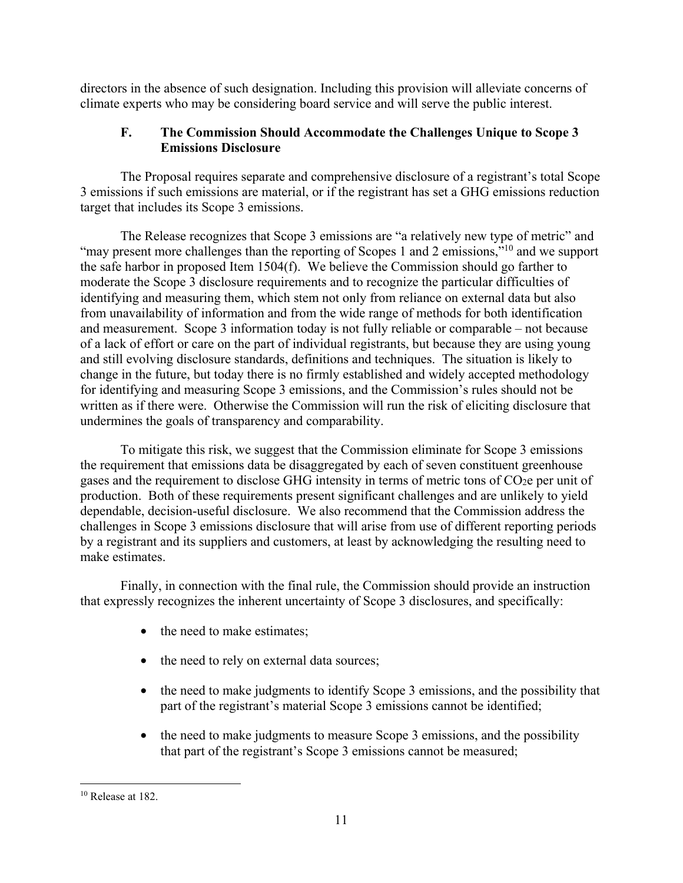directors in the absence of such designation. Including this provision will alleviate concerns of climate experts who may be considering board service and will serve the public interest.

## **F. The Commission Should Accommodate the Challenges Unique to Scope 3 Emissions Disclosure**

The Proposal requires separate and comprehensive disclosure of a registrant's total Scope 3 emissions if such emissions are material, or if the registrant has set a GHG emissions reduction target that includes its Scope 3 emissions.

The Release recognizes that Scope 3 emissions are "a relatively new type of metric" and "may present more challenges than the reporting of Scopes 1 and 2 emissions,"<sup>10</sup> and we support the safe harbor in proposed Item 1504(f). We believe the Commission should go farther to moderate the Scope 3 disclosure requirements and to recognize the particular difficulties of identifying and measuring them, which stem not only from reliance on external data but also from unavailability of information and from the wide range of methods for both identification and measurement. Scope 3 information today is not fully reliable or comparable – not because of a lack of effort or care on the part of individual registrants, but because they are using young and still evolving disclosure standards, definitions and techniques. The situation is likely to change in the future, but today there is no firmly established and widely accepted methodology for identifying and measuring Scope 3 emissions, and the Commission's rules should not be written as if there were. Otherwise the Commission will run the risk of eliciting disclosure that undermines the goals of transparency and comparability.

To mitigate this risk, we suggest that the Commission eliminate for Scope 3 emissions the requirement that emissions data be disaggregated by each of seven constituent greenhouse gases and the requirement to disclose GHG intensity in terms of metric tons of CO2e per unit of production. Both of these requirements present significant challenges and are unlikely to yield dependable, decision-useful disclosure. We also recommend that the Commission address the challenges in Scope 3 emissions disclosure that will arise from use of different reporting periods by a registrant and its suppliers and customers, at least by acknowledging the resulting need to make estimates.

Finally, in connection with the final rule, the Commission should provide an instruction that expressly recognizes the inherent uncertainty of Scope 3 disclosures, and specifically:

- the need to make estimates;
- the need to rely on external data sources;
- the need to make judgments to identify Scope 3 emissions, and the possibility that part of the registrant's material Scope 3 emissions cannot be identified;
- the need to make judgments to measure Scope 3 emissions, and the possibility that part of the registrant's Scope 3 emissions cannot be measured;

 $\overline{a}$  $10$  Release at 182.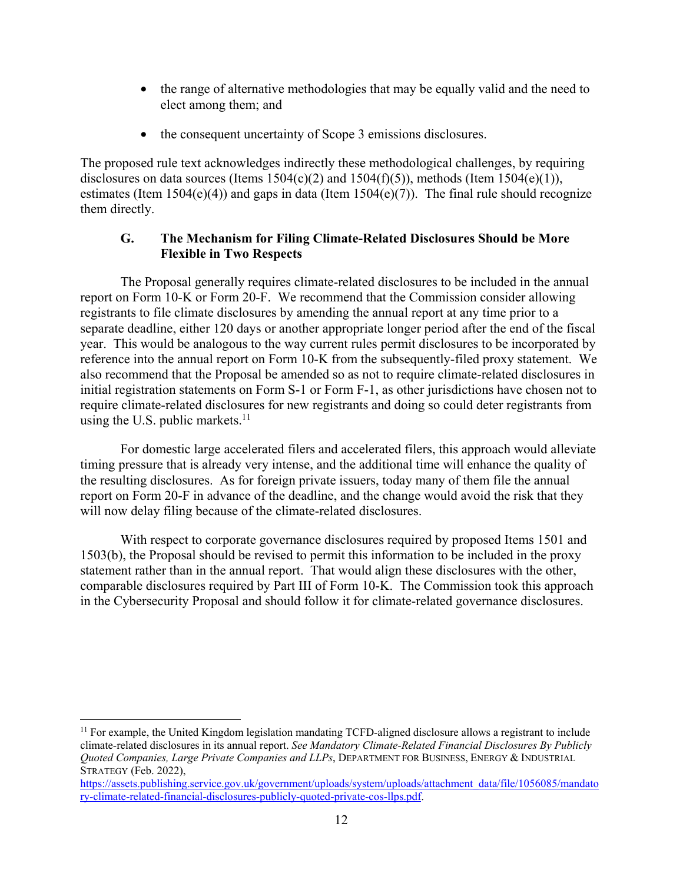- the range of alternative methodologies that may be equally valid and the need to elect among them; and
- the consequent uncertainty of Scope 3 emissions disclosures.

The proposed rule text acknowledges indirectly these methodological challenges, by requiring disclosures on data sources (Items  $1504(c)(2)$  and  $1504(f)(5)$ ), methods (Item  $1504(e)(1)$ ), estimates (Item 1504(e)(4)) and gaps in data (Item 1504(e)(7)). The final rule should recognize them directly.

## **G. The Mechanism for Filing Climate-Related Disclosures Should be More Flexible in Two Respects**

The Proposal generally requires climate-related disclosures to be included in the annual report on Form 10-K or Form 20-F. We recommend that the Commission consider allowing registrants to file climate disclosures by amending the annual report at any time prior to a separate deadline, either 120 days or another appropriate longer period after the end of the fiscal year. This would be analogous to the way current rules permit disclosures to be incorporated by reference into the annual report on Form 10-K from the subsequently-filed proxy statement. We also recommend that the Proposal be amended so as not to require climate-related disclosures in initial registration statements on Form S-1 or Form F-1, as other jurisdictions have chosen not to require climate-related disclosures for new registrants and doing so could deter registrants from using the U.S. public markets. $^{11}$ 

For domestic large accelerated filers and accelerated filers, this approach would alleviate timing pressure that is already very intense, and the additional time will enhance the quality of the resulting disclosures. As for foreign private issuers, today many of them file the annual report on Form 20-F in advance of the deadline, and the change would avoid the risk that they will now delay filing because of the climate-related disclosures.

With respect to corporate governance disclosures required by proposed Items 1501 and 1503(b), the Proposal should be revised to permit this information to be included in the proxy statement rather than in the annual report. That would align these disclosures with the other, comparable disclosures required by Part III of Form 10-K. The Commission took this approach in the Cybersecurity Proposal and should follow it for climate-related governance disclosures.

 $11$  For example, the United Kingdom legislation mandating TCFD-aligned disclosure allows a registrant to include climate-related disclosures in its annual report. *See Mandatory Climate-Related Financial Disclosures By Publicly Quoted Companies, Large Private Companies and LLPs*, DEPARTMENT FOR BUSINESS, ENERGY & INDUSTRIAL STRATEGY (Feb. 2022),

https://assets.publishing.service.gov.uk/government/uploads/system/uploads/attachment\_data/file/1056085/mandato ry-climate-related-financial-disclosures-publicly-quoted-private-cos-llps.pdf.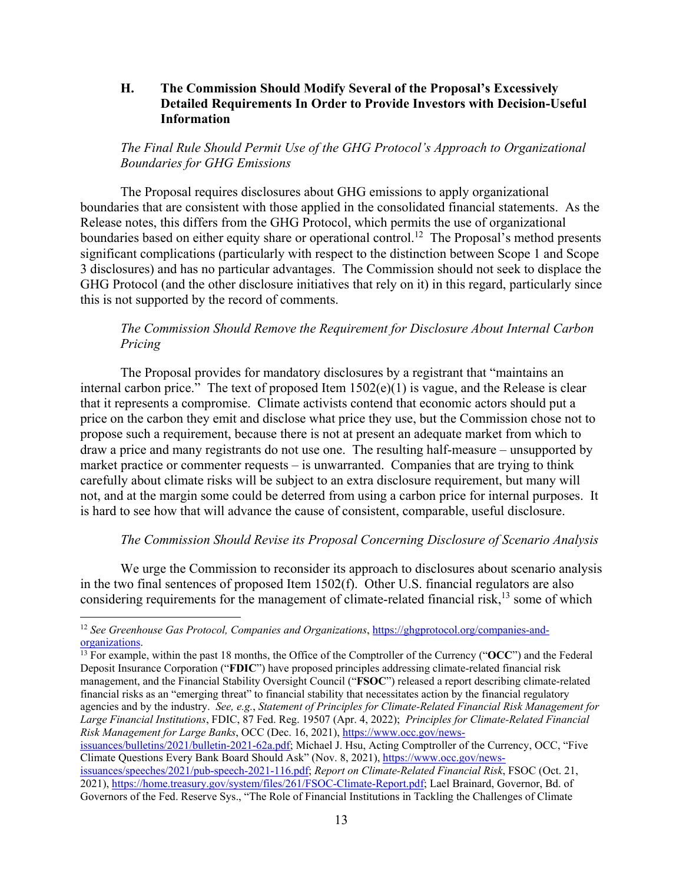#### **H. The Commission Should Modify Several of the Proposal's Excessively Detailed Requirements In Order to Provide Investors with Decision-Useful Information**

#### *The Final Rule Should Permit Use of the GHG Protocol's Approach to Organizational Boundaries for GHG Emissions*

The Proposal requires disclosures about GHG emissions to apply organizational boundaries that are consistent with those applied in the consolidated financial statements. As the Release notes, this differs from the GHG Protocol, which permits the use of organizational boundaries based on either equity share or operational control.<sup>12</sup> The Proposal's method presents significant complications (particularly with respect to the distinction between Scope 1 and Scope 3 disclosures) and has no particular advantages. The Commission should not seek to displace the GHG Protocol (and the other disclosure initiatives that rely on it) in this regard, particularly since this is not supported by the record of comments.

#### *The Commission Should Remove the Requirement for Disclosure About Internal Carbon Pricing*

The Proposal provides for mandatory disclosures by a registrant that "maintains an internal carbon price." The text of proposed Item 1502(e)(1) is vague, and the Release is clear that it represents a compromise. Climate activists contend that economic actors should put a price on the carbon they emit and disclose what price they use, but the Commission chose not to propose such a requirement, because there is not at present an adequate market from which to draw a price and many registrants do not use one. The resulting half-measure – unsupported by market practice or commenter requests – is unwarranted. Companies that are trying to think carefully about climate risks will be subject to an extra disclosure requirement, but many will not, and at the margin some could be deterred from using a carbon price for internal purposes. It is hard to see how that will advance the cause of consistent, comparable, useful disclosure.

#### *The Commission Should Revise its Proposal Concerning Disclosure of Scenario Analysis*

We urge the Commission to reconsider its approach to disclosures about scenario analysis in the two final sentences of proposed Item 1502(f). Other U.S. financial regulators are also considering requirements for the management of climate-related financial risk, $^{13}$  some of which

<sup>&</sup>lt;sup>12</sup> *See Greenhouse Gas Protocol, Companies and Organizations*, https://ghgprotocol.org/companies-and-organizations.

<sup>&</sup>lt;sup>13</sup> For example, within the past 18 months, the Office of the Comptroller of the Currency ("OCC") and the Federal Deposit Insurance Corporation ("**FDIC**") have proposed principles addressing climate-related financial risk management, and the Financial Stability Oversight Council ("**FSOC**") released a report describing climate-related financial risks as an "emerging threat" to financial stability that necessitates action by the financial regulatory agencies and by the industry. *See, e.g.*, *Statement of Principles for Climate-Related Financial Risk Management for Large Financial Institutions*, FDIC, 87 Fed. Reg. 19507 (Apr. 4, 2022); *Principles for Climate-Related Financial Risk Management for Large Banks*, OCC (Dec. 16, 2021), https://www.occ.gov/newsissuances/bulletins/2021/bulletin-2021-62a.pdf; Michael J. Hsu, Acting Comptroller of the Currency, OCC, "Five Climate Questions Every Bank Board Should Ask" (Nov. 8, 2021), https://www.occ.gov/newsissuances/speeches/2021/pub-speech-2021-116.pdf; *Report on Climate-Related Financial Risk*, FSOC (Oct. 21, 2021), https://home.treasury.gov/system/files/261/FSOC-Climate-Report.pdf; Lael Brainard, Governor, Bd. of Governors of the Fed. Reserve Sys., "The Role of Financial Institutions in Tackling the Challenges of Climate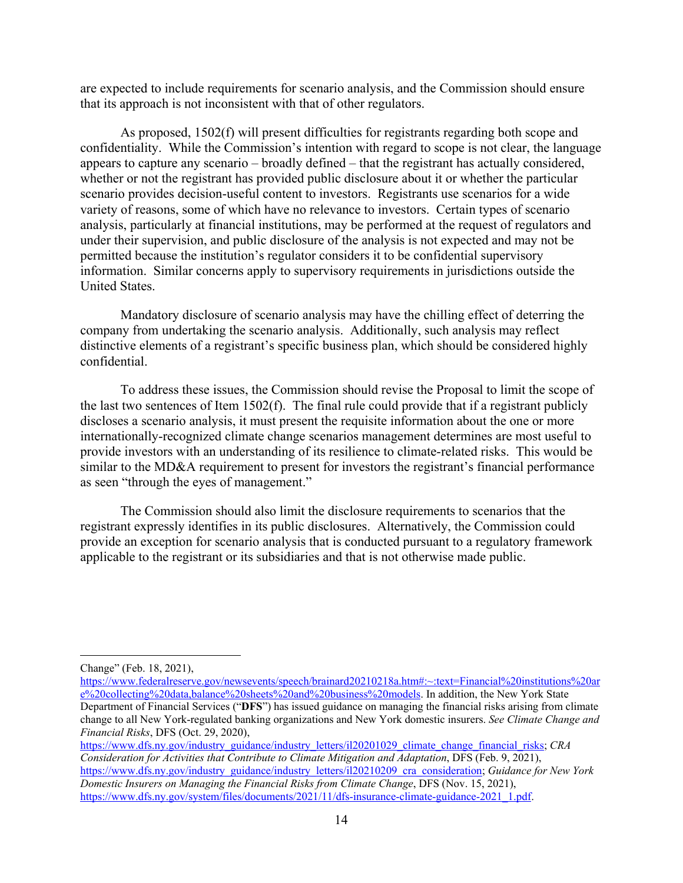are expected to include requirements for scenario analysis, and the Commission should ensure that its approach is not inconsistent with that of other regulators.

As proposed, 1502(f) will present difficulties for registrants regarding both scope and confidentiality. While the Commission's intention with regard to scope is not clear, the language appears to capture any scenario – broadly defined – that the registrant has actually considered, whether or not the registrant has provided public disclosure about it or whether the particular scenario provides decision-useful content to investors. Registrants use scenarios for a wide variety of reasons, some of which have no relevance to investors. Certain types of scenario analysis, particularly at financial institutions, may be performed at the request of regulators and under their supervision, and public disclosure of the analysis is not expected and may not be permitted because the institution's regulator considers it to be confidential supervisory information. Similar concerns apply to supervisory requirements in jurisdictions outside the United States.

Mandatory disclosure of scenario analysis may have the chilling effect of deterring the company from undertaking the scenario analysis. Additionally, such analysis may reflect distinctive elements of a registrant's specific business plan, which should be considered highly confidential.

To address these issues, the Commission should revise the Proposal to limit the scope of the last two sentences of Item 1502(f). The final rule could provide that if a registrant publicly discloses a scenario analysis, it must present the requisite information about the one or more internationally-recognized climate change scenarios management determines are most useful to provide investors with an understanding of its resilience to climate-related risks. This would be similar to the MD&A requirement to present for investors the registrant's financial performance as seen "through the eyes of management."

The Commission should also limit the disclosure requirements to scenarios that the registrant expressly identifies in its public disclosures. Alternatively, the Commission could provide an exception for scenario analysis that is conducted pursuant to a regulatory framework applicable to the registrant or its subsidiaries and that is not otherwise made public.

 $\overline{a}$ 

https://www.dfs.ny.gov/industry\_guidance/industry\_letters/il20201029\_climate\_change\_financial\_risks; *CRA Consideration for Activities that Contribute to Climate Mitigation and Adaptation*, DFS (Feb. 9, 2021), https://www.dfs.ny.gov/industry\_guidance/industry\_letters/il20210209\_cra\_consideration; *Guidance for New York* 

*Domestic Insurers on Managing the Financial Risks from Climate Change*, DFS (Nov. 15, 2021), https://www.dfs.ny.gov/system/files/documents/2021/11/dfs-insurance-climate-guidance-2021\_1.pdf.

Change" (Feb. 18, 2021),

https://www.federalreserve.gov/newsevents/speech/brainard20210218a.htm#:~:text=Financial%20institutions%20ar e%20collecting%20data,balance%20sheets%20and%20business%20models. In addition, the New York State Department of Financial Services ("**DFS**") has issued guidance on managing the financial risks arising from climate change to all New York-regulated banking organizations and New York domestic insurers. *See Climate Change and Financial Risks*, DFS (Oct. 29, 2020),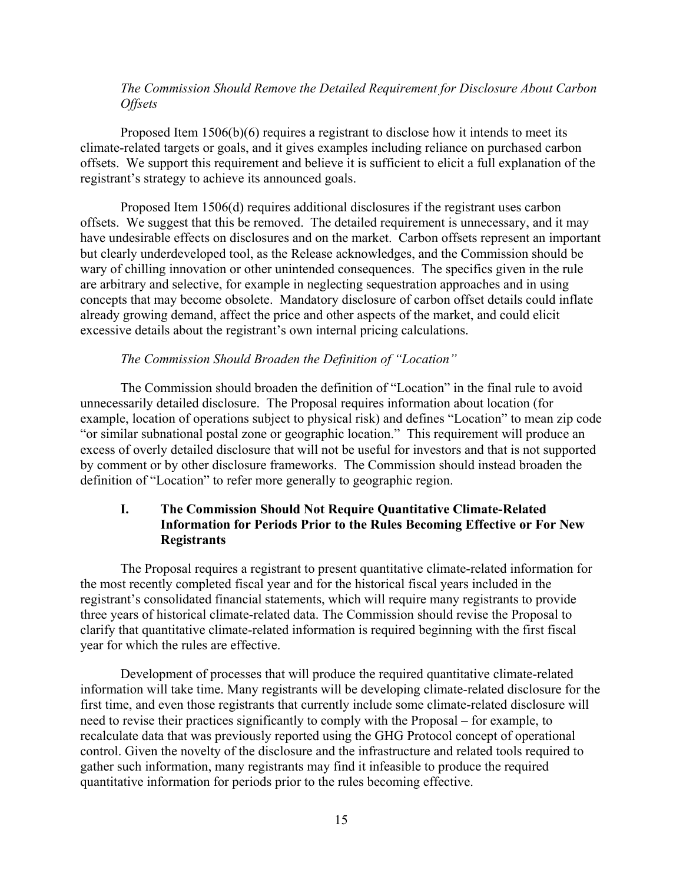#### *The Commission Should Remove the Detailed Requirement for Disclosure About Carbon Offsets*

Proposed Item 1506(b)(6) requires a registrant to disclose how it intends to meet its climate-related targets or goals, and it gives examples including reliance on purchased carbon offsets. We support this requirement and believe it is sufficient to elicit a full explanation of the registrant's strategy to achieve its announced goals.

Proposed Item 1506(d) requires additional disclosures if the registrant uses carbon offsets. We suggest that this be removed. The detailed requirement is unnecessary, and it may have undesirable effects on disclosures and on the market. Carbon offsets represent an important but clearly underdeveloped tool, as the Release acknowledges, and the Commission should be wary of chilling innovation or other unintended consequences. The specifics given in the rule are arbitrary and selective, for example in neglecting sequestration approaches and in using concepts that may become obsolete. Mandatory disclosure of carbon offset details could inflate already growing demand, affect the price and other aspects of the market, and could elicit excessive details about the registrant's own internal pricing calculations.

#### *The Commission Should Broaden the Definition of "Location"*

The Commission should broaden the definition of "Location" in the final rule to avoid unnecessarily detailed disclosure. The Proposal requires information about location (for example, location of operations subject to physical risk) and defines "Location" to mean zip code "or similar subnational postal zone or geographic location." This requirement will produce an excess of overly detailed disclosure that will not be useful for investors and that is not supported by comment or by other disclosure frameworks. The Commission should instead broaden the definition of "Location" to refer more generally to geographic region.

### **I. The Commission Should Not Require Quantitative Climate-Related Information for Periods Prior to the Rules Becoming Effective or For New Registrants**

The Proposal requires a registrant to present quantitative climate-related information for the most recently completed fiscal year and for the historical fiscal years included in the registrant's consolidated financial statements, which will require many registrants to provide three years of historical climate-related data. The Commission should revise the Proposal to clarify that quantitative climate-related information is required beginning with the first fiscal year for which the rules are effective.

Development of processes that will produce the required quantitative climate-related information will take time. Many registrants will be developing climate-related disclosure for the first time, and even those registrants that currently include some climate-related disclosure will need to revise their practices significantly to comply with the Proposal – for example, to recalculate data that was previously reported using the GHG Protocol concept of operational control. Given the novelty of the disclosure and the infrastructure and related tools required to gather such information, many registrants may find it infeasible to produce the required quantitative information for periods prior to the rules becoming effective.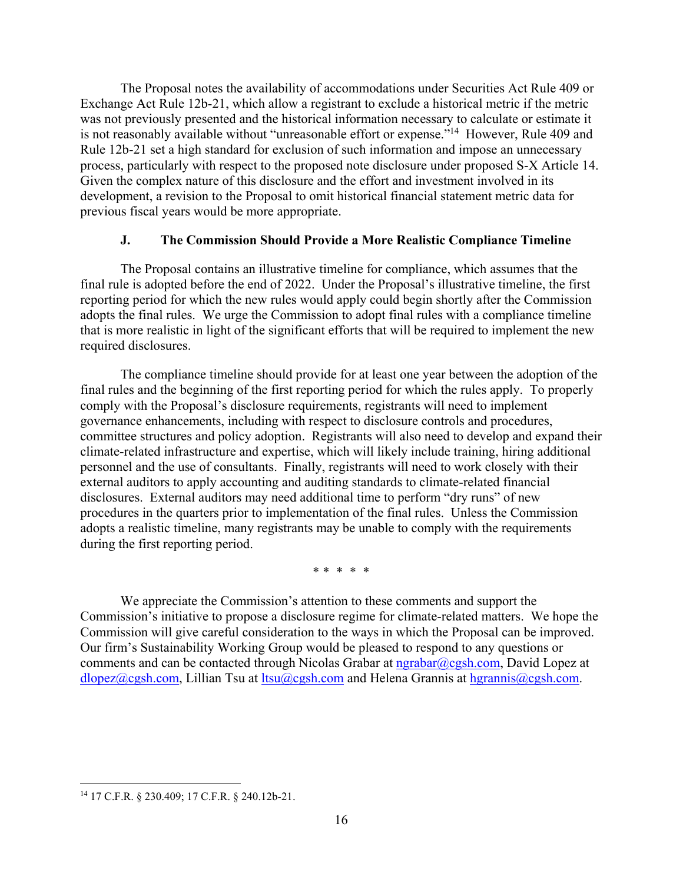The Proposal notes the availability of accommodations under Securities Act Rule 409 or Exchange Act Rule 12b-21, which allow a registrant to exclude a historical metric if the metric was not previously presented and the historical information necessary to calculate or estimate it is not reasonably available without "unreasonable effort or expense."<sup>14</sup> However, Rule 409 and Rule 12b-21 set a high standard for exclusion of such information and impose an unnecessary process, particularly with respect to the proposed note disclosure under proposed S-X Article 14. Given the complex nature of this disclosure and the effort and investment involved in its development, a revision to the Proposal to omit historical financial statement metric data for previous fiscal years would be more appropriate.

### **J. The Commission Should Provide a More Realistic Compliance Timeline**

The Proposal contains an illustrative timeline for compliance, which assumes that the final rule is adopted before the end of 2022. Under the Proposal's illustrative timeline, the first reporting period for which the new rules would apply could begin shortly after the Commission adopts the final rules. We urge the Commission to adopt final rules with a compliance timeline that is more realistic in light of the significant efforts that will be required to implement the new required disclosures.

The compliance timeline should provide for at least one year between the adoption of the final rules and the beginning of the first reporting period for which the rules apply. To properly comply with the Proposal's disclosure requirements, registrants will need to implement governance enhancements, including with respect to disclosure controls and procedures, committee structures and policy adoption. Registrants will also need to develop and expand their climate-related infrastructure and expertise, which will likely include training, hiring additional personnel and the use of consultants. Finally, registrants will need to work closely with their external auditors to apply accounting and auditing standards to climate-related financial disclosures. External auditors may need additional time to perform "dry runs" of new procedures in the quarters prior to implementation of the final rules. Unless the Commission adopts a realistic timeline, many registrants may be unable to comply with the requirements during the first reporting period.

\* \* \* \* \*

We appreciate the Commission's attention to these comments and support the Commission's initiative to propose a disclosure regime for climate-related matters. We hope the Commission will give careful consideration to the ways in which the Proposal can be improved. Our firm's Sustainability Working Group would be pleased to respond to any questions or comments and can be contacted through Nicolas Grabar at  $ngrabar@cgsh.com$ , David Lopez at dlopez@cgsh.com, Lillian Tsu at ltsu@cgsh.com and Helena Grannis at hgrannis@cgsh.com.

 $\overline{a}$ 14 17 C.F.R. § 230.409; 17 C.F.R. § 240.12b-21.